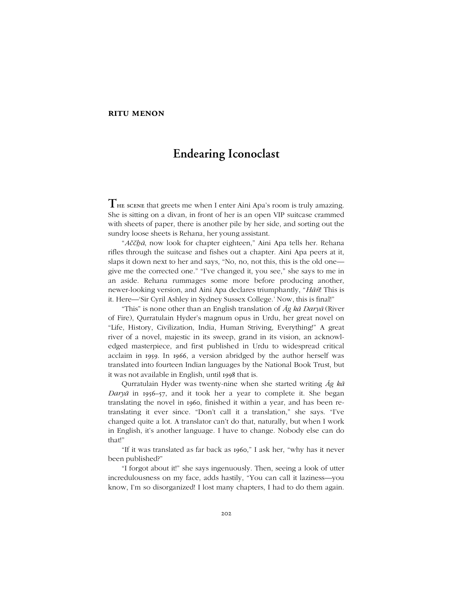## **ritu menon**

## **Endearing Iconoclast**

**T**he scene that greets me when <sup>I</sup> enter Aini Apaís room is truly amazing. She is sitting on a divan, in front of her is an open VIP suitcase crammed with sheets of paper, there is another pile by her side, and sorting out the sundry loose sheets is Rehana, her young assistant.

ì*Aččẖā*, now look for chapter eighteen,î Aini Apa tells her. Rehana rifles through the suitcase and fishes out a chapter. Aini Apa peers at it, slaps it down next to her and says, "No, no, not this, this is the old one give me the corrected one." "I've changed it, you see," she says to me in an aside. Rehana rummages some more before producing another, newer-looking version, and Aini Apa declares triumphantly, "Hāñ! This is it. Here—'Sir Cyril Ashley in Sydney Sussex College.' Now, this is final!"

"This" is none other than an English translation of  $\bar{A}g$   $k\bar{a}$  *Dary* $\bar{a}$  (River of Fire), Qurratulain Hyder's magnum opus in Urdu, her great novel on "Life, History, Civilization, India, Human Striving, Everything!" A great river of a novel, majestic in its sweep, grand in its vision, an acknowledged masterpiece, and first published in Urdu to widespread critical acclaim in 1959. In 1966, a version abridged by the author herself was translated into fourteen Indian languages by the National Book Trust, but it was not available in English, until 1998 that is.

Qurratulain Hyder was twenty-nine when she started writing *Āg kā Daryā* in 1956–57, and it took her a year to complete it. She began translating the novel in 1960, finished it within a year, and has been retranslating it ever since. "Don't call it a translation," she says. "I've changed quite a lot. A translator can't do that, naturally, but when I work in English, it's another language. I have to change. Nobody else can do that!"

"If it was translated as far back as 1960," I ask her, "why has it never been published?"

ìI forgot about it!î she says ingenuously. Then, seeing a look of utter incredulousness on my face, adds hastily, "You can call it laziness—you know, I'm so disorganized! I lost many chapters, I had to do them again.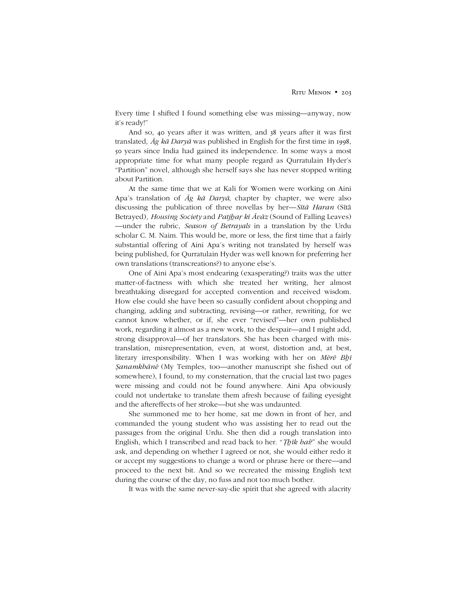Every time I shifted I found something else was missing—anyway, now it's ready!"

And so, 40 years after it was written, and 38 years after it was first translated, *Āg kā Daryā* was published in English for the first time in 1998, 50 years since India had gained its independence. In some ways a most appropriate time for what many people regard as Qurratulain Hyder's ìPartitionî novel, although she herself says she has never stopped writing about Partition.

At the same time that we at Kali for Women were working on Aini Apaís translation of *Āg kā Daryā*, chapter by chapter, we were also discussing the publication of three novellas by her—*Sītā Haran* (Sītā Betrayed)*, Housing Society* and *Patjẖaṛ kī Āvāz* (Sound of Falling Leaves) —under the rubric, *Season of Betrayals* in a translation by the Urdu scholar C. M. Naim. This would be, more or less, the first time that a fairly substantial offering of Aini Apa's writing not translated by herself was being published, for Qurratulain Hyder was well known for preferring her own translations (transcreations?) to anyone else's.

One of Aini Apaís most endearing (exasperating?) traits was the utter matter-of-factness with which she treated her writing, her almost breathtaking disregard for accepted convention and received wisdom. How else could she have been so casually confident about chopping and changing, adding and subtracting, revising—or rather, rewriting, for we cannot know whether, or if, she ever "revised"—her own published work, regarding it almost as a new work, to the despair—and I might add, strong disapproval—of her translators. She has been charged with mistranslation, misrepresentation, even, at worst, distortion and, at best, literary irresponsibility. When I was working with her on *Mērē Bẖī Şanamkhānē* (My Temples, too—another manuscript she fished out of somewhere), I found, to my consternation, that the crucial last two pages were missing and could not be found anywhere. Aini Apa obviously could not undertake to translate them afresh because of failing eyesight and the aftereffects of her stroke—but she was undaunted.

She summoned me to her home, sat me down in front of her, and commanded the young student who was assisting her to read out the passages from the original Urdu. She then did a rough translation into English, which I transcribed and read back to her. *"Thik hai*?" she would ask, and depending on whether I agreed or not, she would either redo it or accept my suggestions to change a word or phrase here or there—and proceed to the next bit. And so we recreated the missing English text during the course of the day, no fuss and not too much bother.

It was with the same never-say-die spirit that she agreed with alacrity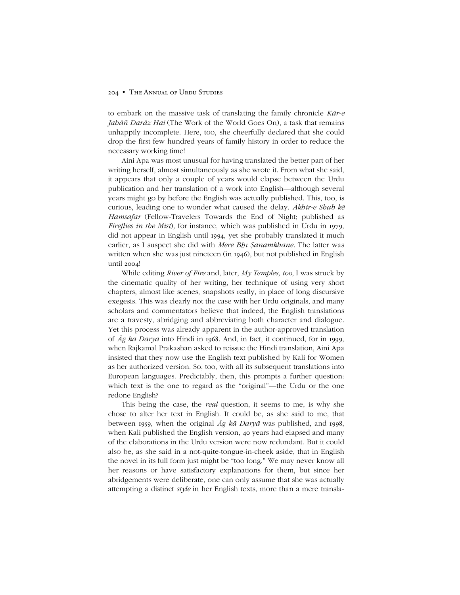## 204 • The Annual of Urdu Studies

to embark on the massive task of translating the family chronicle *Kār-e Jahāñ Darāz Hai* (The Work of the World Goes On), a task that remains unhappily incomplete. Here, too, she cheerfully declared that she could drop the first few hundred years of family history in order to reduce the necessary working time!

Aini Apa was most unusual for having translated the better part of her writing herself, almost simultaneously as she wrote it. From what she said, it appears that only a couple of years would elapse between the Urdu publication and her translation of a work into English—although several years might go by before the English was actually published. This, too, is curious, leading one to wonder what caused the delay. *Ākhir-e Shab kē Hamsafar* (Fellow-Travelers Towards the End of Night; published as *Fireflies in the Mist*)*,* for instance, which was published in Urdu in 1979, did not appear in English until 1994, yet she probably translated it much earlier, as I suspect she did with *Mērē Bẖī Ṣanamkhānē.* The latter was written when she was just nineteen (in 1946), but not published in English until 2004!

While editing *River of Fire* and, later, *My Temples, too*, I was struck by the cinematic quality of her writing, her technique of using very short chapters, almost like scenes, snapshots really, in place of long discursive exegesis. This was clearly not the case with her Urdu originals, and many scholars and commentators believe that indeed, the English translations are a travesty, abridging and abbreviating both character and dialogue. Yet this process was already apparent in the author-approved translation of *Āg kā Daryā* into Hindi in 1968. And, in fact, it continued, for in 1999, when Rajkamal Prakashan asked to reissue the Hindi translation, Aini Apa insisted that they now use the English text published by Kali for Women as her authorized version. So, too, with all its subsequent translations into European languages. Predictably, then, this prompts a further question: which text is the one to regard as the "original"—the Urdu or the one redone English?

This being the case, the *real* question, it seems to me, is why she chose to alter her text in English. It could be, as she said to me, that between 1959, when the original *Āg kā Daryā* was published, and 1998, when Kali published the English version, 40 years had elapsed and many of the elaborations in the Urdu version were now redundant. But it could also be, as she said in a not-quite-tongue-in-cheek aside, that in English the novel in its full form just might be "too long." We may never know all her reasons or have satisfactory explanations for them, but since her abridgements were deliberate, one can only assume that she was actually attempting a distinct *style* in her English texts, more than a mere transla